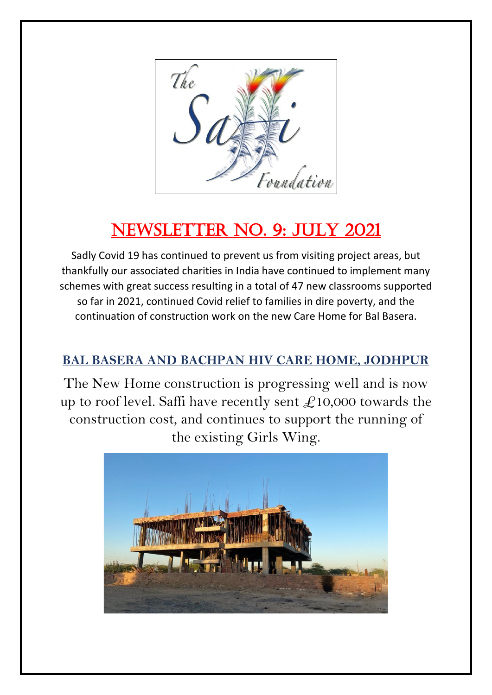

# NEWSLETTER NO. 9: JULY 2021

Sadly Covid 19 has continued to prevent us from visiting project areas, but thankfully our associated charities in India have continued to implement many schemes with great success resulting in a total of 47 new classrooms supported so far in 2021, continued Covid relief to families in dire poverty, and the continuation of construction work on the new Care Home for Bal Basera.

### **BAL BASERA AND BACHPAN HIV CARE HOME, JODHPUR**

The New Home construction is progressing well and is now up to roof level. Saffi have recently sent  $\pounds$ 10,000 towards the construction cost, and continues to support the running of the existing Girls Wing.

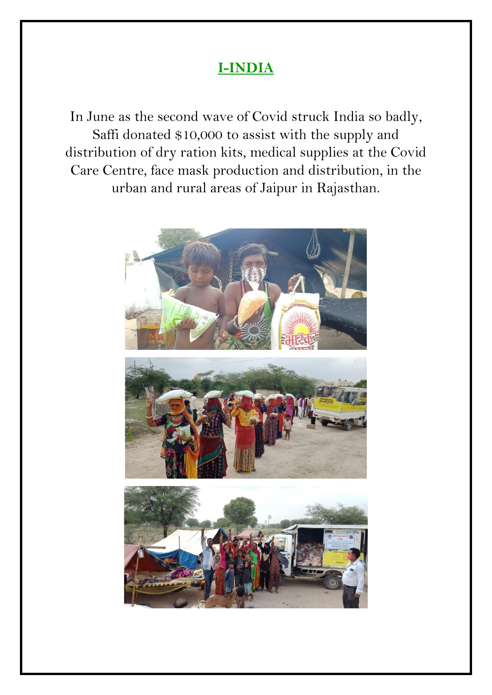## **I-INDIA**

In June as the second wave of Covid struck India so badly, Saffi donated \$10,000 to assist with the supply and distribution of dry ration kits, medical supplies at the Covid Care Centre, face mask production and distribution, in the urban and rural areas of Jaipur in Rajasthan.

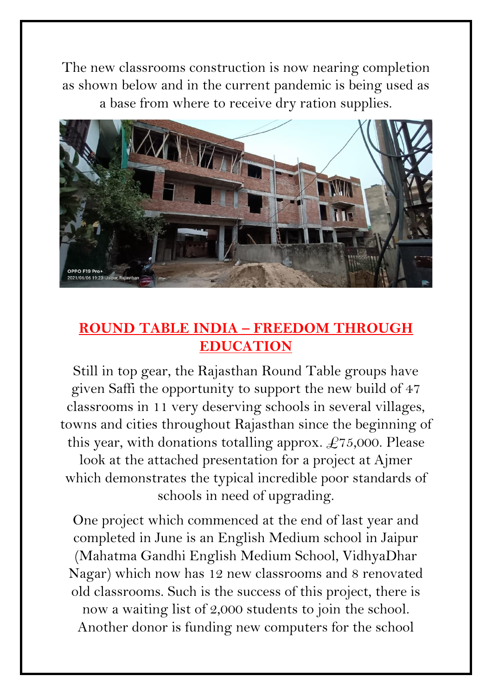The new classrooms construction is now nearing completion as shown below and in the current pandemic is being used as a base from where to receive dry ration supplies.



## **ROUND TABLE INDIA – FREEDOM THROUGH EDUCATION**

Still in top gear, the Rajasthan Round Table groups have given Saffi the opportunity to support the new build of 47 classrooms in 11 very deserving schools in several villages, towns and cities throughout Rajasthan since the beginning of this year, with donations totalling approx.  $\pounds$ 75,000. Please look at the attached presentation for a project at Ajmer which demonstrates the typical incredible poor standards of schools in need of upgrading.

One project which commenced at the end of last year and completed in June is an English Medium school in Jaipur (Mahatma Gandhi English Medium School, VidhyaDhar Nagar) which now has 12 new classrooms and 8 renovated old classrooms. Such is the success of this project, there is now a waiting list of 2,000 students to join the school. Another donor is funding new computers for the school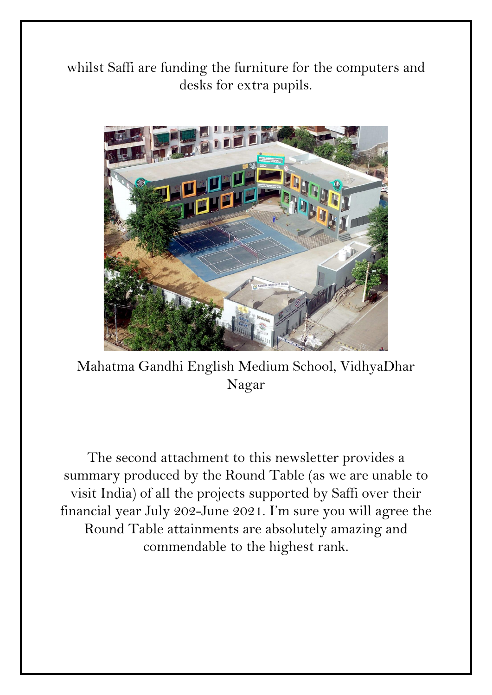whilst Saffi are funding the furniture for the computers and desks for extra pupils.



Mahatma Gandhi English Medium School, VidhyaDhar Nagar

The second attachment to this newsletter provides a summary produced by the Round Table (as we are unable to visit India) of all the projects supported by Saffi over their financial year July 202-June 2021. I'm sure you will agree the Round Table attainments are absolutely amazing and commendable to the highest rank.